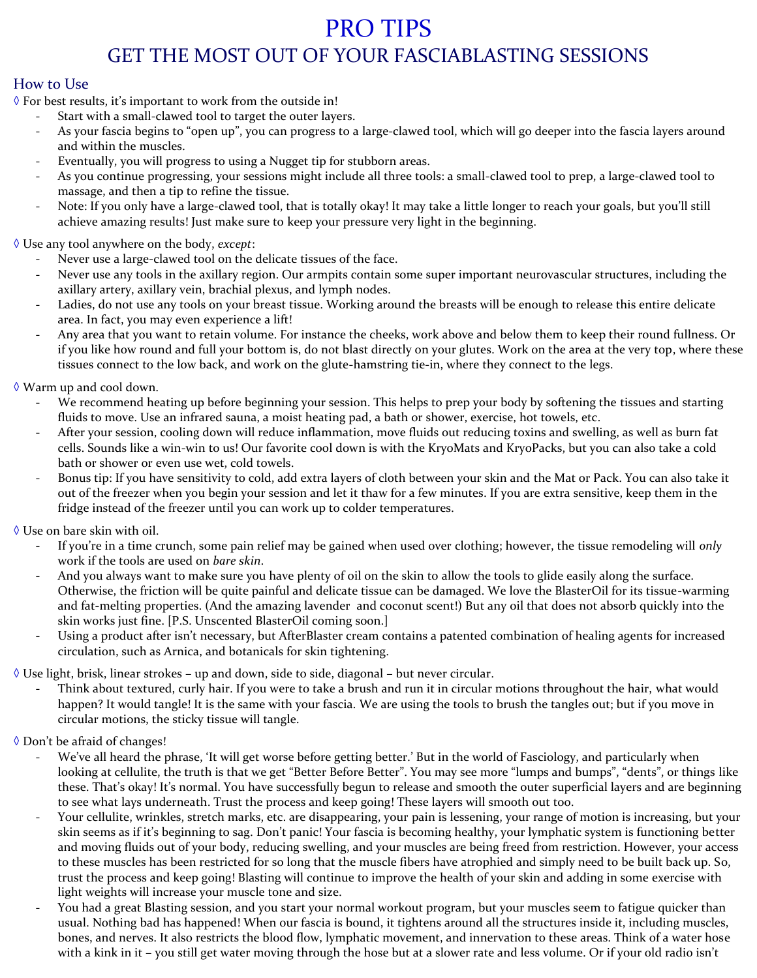# PRO TIPS GET THE MOST OUT OF YOUR FASCIABLASTING SESSIONS

## How to Use

◊ For best results, it's important to work from the outside in!

- Start with a small-clawed tool to target the outer layers.
- As your fascia begins to "open up", you can progress to a large-clawed tool, which will go deeper into the fascia layers around and within the muscles.
- Eventually, you will progress to using a Nugget tip for stubborn areas.
- As you continue progressing, your sessions might include all three tools: a small-clawed tool to prep, a large-clawed tool to massage, and then a tip to refine the tissue.
- Note: If you only have a large-clawed tool, that is totally okay! It may take a little longer to reach your goals, but you'll still achieve amazing results! Just make sure to keep your pressure very light in the beginning.

◊ Use any tool anywhere on the body, *except*:

- Never use a large-clawed tool on the delicate tissues of the face.
- Never use any tools in the axillary region. Our armpits contain some super important neurovascular structures, including the axillary artery, axillary vein, brachial plexus, and lymph nodes.
- Ladies, do not use any tools on your breast tissue. Working around the breasts will be enough to release this entire delicate area. In fact, you may even experience a lift!
- Any area that you want to retain volume. For instance the cheeks, work above and below them to keep their round fullness. Or if you like how round and full your bottom is, do not blast directly on your glutes. Work on the area at the very top, where these tissues connect to the low back, and work on the glute-hamstring tie-in, where they connect to the legs.

#### ◊ Warm up and cool down.

- We recommend heating up before beginning your session. This helps to prep your body by softening the tissues and starting fluids to move. Use an infrared sauna, a moist heating pad, a bath or shower, exercise, hot towels, etc.
- After your session, cooling down will reduce inflammation, move fluids out reducing toxins and swelling, as well as burn fat cells. Sounds like a win-win to us! Our favorite cool down is with the KryoMats and KryoPacks, but you can also take a cold bath or shower or even use wet, cold towels.
- Bonus tip: If you have sensitivity to cold, add extra layers of cloth between your skin and the Mat or Pack. You can also take it out of the freezer when you begin your session and let it thaw for a few minutes. If you are extra sensitive, keep them in the fridge instead of the freezer until you can work up to colder temperatures.

#### ◊ Use on bare skin with oil.

- If you're in a time crunch, some pain relief may be gained when used over clothing; however, the tissue remodeling will *only* work if the tools are used on *bare skin*.
- And you always want to make sure you have plenty of oil on the skin to allow the tools to glide easily along the surface. Otherwise, the friction will be quite painful and delicate tissue can be damaged. We love the BlasterOil for its tissue-warming and fat-melting properties. (And the amazing lavender and coconut scent!) But any oil that does not absorb quickly into the skin works just fine. [P.S. Unscented BlasterOil coming soon.]
- Using a product after isn't necessary, but AfterBlaster cream contains a patented combination of healing agents for increased circulation, such as Arnica, and botanicals for skin tightening.

 $\Diamond$  Use light, brisk, linear strokes – up and down, side to side, diagonal – but never circular.

- Think about textured, curly hair. If you were to take a brush and run it in circular motions throughout the hair, what would happen? It would tangle! It is the same with your fascia. We are using the tools to brush the tangles out; but if you move in circular motions, the sticky tissue will tangle.
- ◊ Don't be afraid of changes!
	- We've all heard the phrase, 'It will get worse before getting better.' But in the world of Fasciology, and particularly when looking at cellulite, the truth is that we get "Better Before Better". You may see more "lumps and bumps", "dents", or things like these. That's okay! It's normal. You have successfully begun to release and smooth the outer superficial layers and are beginning to see what lays underneath. Trust the process and keep going! These layers will smooth out too.
	- Your cellulite, wrinkles, stretch marks, etc. are disappearing, your pain is lessening, your range of motion is increasing, but your skin seems as if it's beginning to sag. Don't panic! Your fascia is becoming healthy, your lymphatic system is functioning better and moving fluids out of your body, reducing swelling, and your muscles are being freed from restriction. However, your access to these muscles has been restricted for so long that the muscle fibers have atrophied and simply need to be built back up. So, trust the process and keep going! Blasting will continue to improve the health of your skin and adding in some exercise with light weights will increase your muscle tone and size.
	- You had a great Blasting session, and you start your normal workout program, but your muscles seem to fatigue quicker than usual. Nothing bad has happened! When our fascia is bound, it tightens around all the structures inside it, including muscles, bones, and nerves. It also restricts the blood flow, lymphatic movement, and innervation to these areas. Think of a water hose with a kink in it – you still get water moving through the hose but at a slower rate and less volume. Or if your old radio isn't